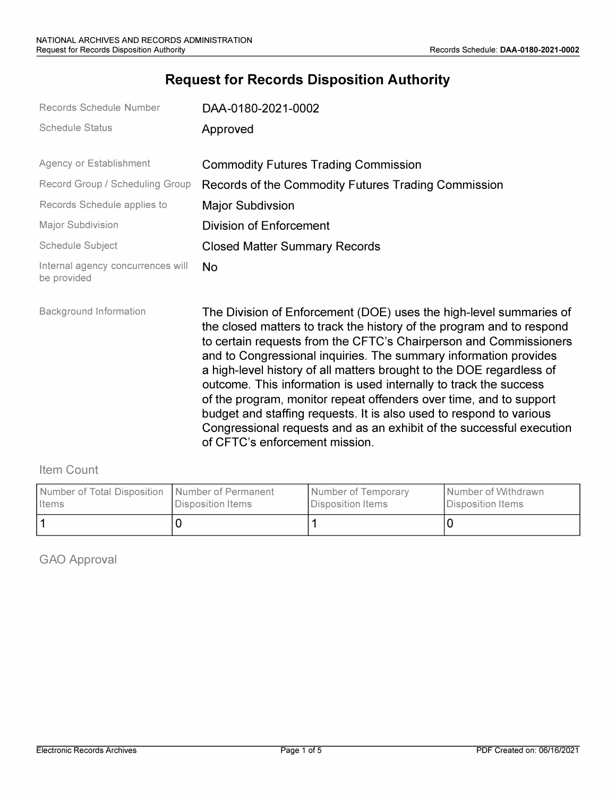# **Request for Records Disposition Authority**

| Records Schedule Number                          | DAA-0180-2021-0002                                                                                                                                                                                                                                                                                                                                                                                                                                                                                                                                                                                                                                                                       |
|--------------------------------------------------|------------------------------------------------------------------------------------------------------------------------------------------------------------------------------------------------------------------------------------------------------------------------------------------------------------------------------------------------------------------------------------------------------------------------------------------------------------------------------------------------------------------------------------------------------------------------------------------------------------------------------------------------------------------------------------------|
| <b>Schedule Status</b>                           | Approved                                                                                                                                                                                                                                                                                                                                                                                                                                                                                                                                                                                                                                                                                 |
| Agency or Establishment                          | <b>Commodity Futures Trading Commission</b>                                                                                                                                                                                                                                                                                                                                                                                                                                                                                                                                                                                                                                              |
| Record Group / Scheduling Group                  | Records of the Commodity Futures Trading Commission                                                                                                                                                                                                                                                                                                                                                                                                                                                                                                                                                                                                                                      |
| Records Schedule applies to                      | <b>Major Subdivsion</b>                                                                                                                                                                                                                                                                                                                                                                                                                                                                                                                                                                                                                                                                  |
| <b>Major Subdivision</b>                         | <b>Division of Enforcement</b>                                                                                                                                                                                                                                                                                                                                                                                                                                                                                                                                                                                                                                                           |
| Schedule Subject                                 | <b>Closed Matter Summary Records</b>                                                                                                                                                                                                                                                                                                                                                                                                                                                                                                                                                                                                                                                     |
| Internal agency concurrences will<br>be provided | <b>No</b>                                                                                                                                                                                                                                                                                                                                                                                                                                                                                                                                                                                                                                                                                |
| <b>Background Information</b>                    | The Division of Enforcement (DOE) uses the high-level summaries of<br>the closed matters to track the history of the program and to respond<br>to certain requests from the CFTC's Chairperson and Commissioners<br>and to Congressional inquiries. The summary information provides<br>a high-level history of all matters brought to the DOE regardless of<br>outcome. This information is used internally to track the success<br>of the program, monitor repeat offenders over time, and to support<br>budget and staffing requests. It is also used to respond to various<br>Congressional requests and as an exhibit of the successful execution<br>of CFTC's enforcement mission. |

#### Item Count

| Number of Total Disposition   Number of Permanent | Disposition Items | Number of Temporary | Number of Withdrawn |
|---------------------------------------------------|-------------------|---------------------|---------------------|
| <b>I</b> Items                                    |                   | Disposition Items   | Disposition Items   |
|                                                   |                   |                     |                     |

GAO Approval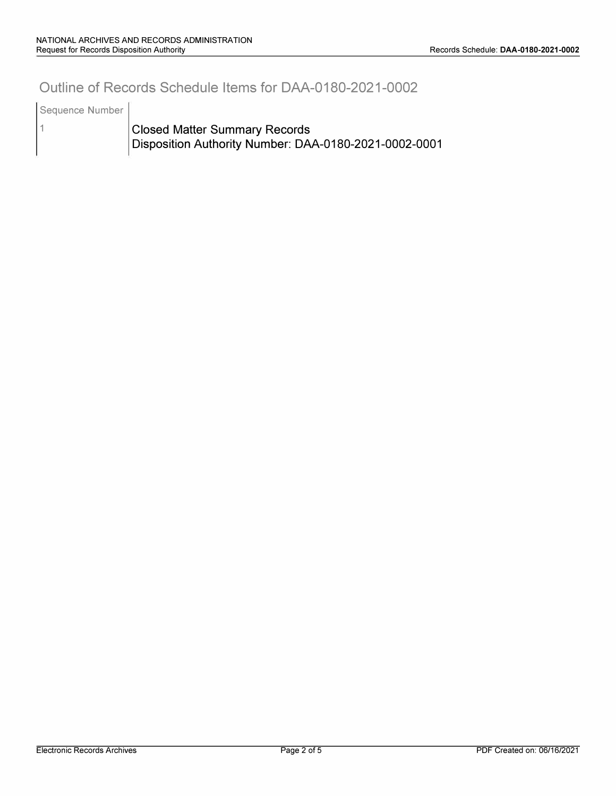### **Outline of Records Schedule Items for DAA-0180-2021-0002**

Sequence Number

1

**Closed Matter Summary Records Disposition Authority Number: DAA-0180-2021-0002-0001**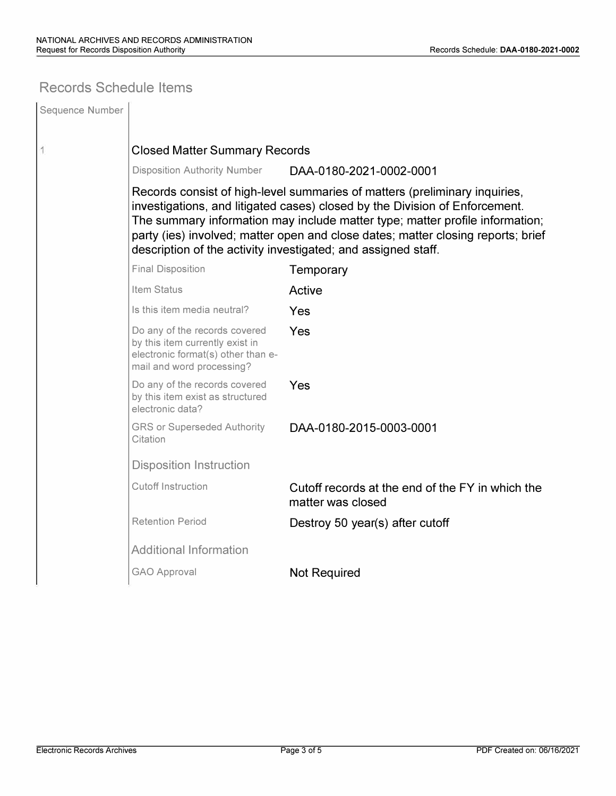### **Records Schedule Items**

| Sequence Number |                                                                                                                                                                                                                                                                                                                                                                                                |                                                                       |  |  |  |  |
|-----------------|------------------------------------------------------------------------------------------------------------------------------------------------------------------------------------------------------------------------------------------------------------------------------------------------------------------------------------------------------------------------------------------------|-----------------------------------------------------------------------|--|--|--|--|
| 1               | <b>Closed Matter Summary Records</b>                                                                                                                                                                                                                                                                                                                                                           |                                                                       |  |  |  |  |
|                 | <b>Disposition Authority Number</b>                                                                                                                                                                                                                                                                                                                                                            | DAA-0180-2021-0002-0001                                               |  |  |  |  |
|                 | Records consist of high-level summaries of matters (preliminary inquiries,<br>investigations, and litigated cases) closed by the Division of Enforcement.<br>The summary information may include matter type; matter profile information;<br>party (ies) involved; matter open and close dates; matter closing reports; brief<br>description of the activity investigated; and assigned staff. |                                                                       |  |  |  |  |
|                 | <b>Final Disposition</b>                                                                                                                                                                                                                                                                                                                                                                       | Temporary                                                             |  |  |  |  |
|                 | <b>Item Status</b>                                                                                                                                                                                                                                                                                                                                                                             | Active                                                                |  |  |  |  |
|                 | Is this item media neutral?                                                                                                                                                                                                                                                                                                                                                                    | Yes                                                                   |  |  |  |  |
|                 | Do any of the records covered<br>by this item currently exist in<br>electronic format(s) other than e-<br>mail and word processing?                                                                                                                                                                                                                                                            | Yes                                                                   |  |  |  |  |
|                 | Do any of the records covered<br>by this item exist as structured<br>electronic data?                                                                                                                                                                                                                                                                                                          | Yes                                                                   |  |  |  |  |
|                 | <b>GRS or Superseded Authority</b><br>Citation                                                                                                                                                                                                                                                                                                                                                 | DAA-0180-2015-0003-0001                                               |  |  |  |  |
|                 | <b>Disposition Instruction</b>                                                                                                                                                                                                                                                                                                                                                                 |                                                                       |  |  |  |  |
|                 | <b>Cutoff Instruction</b>                                                                                                                                                                                                                                                                                                                                                                      | Cutoff records at the end of the FY in which the<br>matter was closed |  |  |  |  |
|                 | <b>Retention Period</b>                                                                                                                                                                                                                                                                                                                                                                        | Destroy 50 year(s) after cutoff                                       |  |  |  |  |
|                 | <b>Additional Information</b>                                                                                                                                                                                                                                                                                                                                                                  |                                                                       |  |  |  |  |
|                 | <b>GAO Approval</b>                                                                                                                                                                                                                                                                                                                                                                            | <b>Not Required</b>                                                   |  |  |  |  |